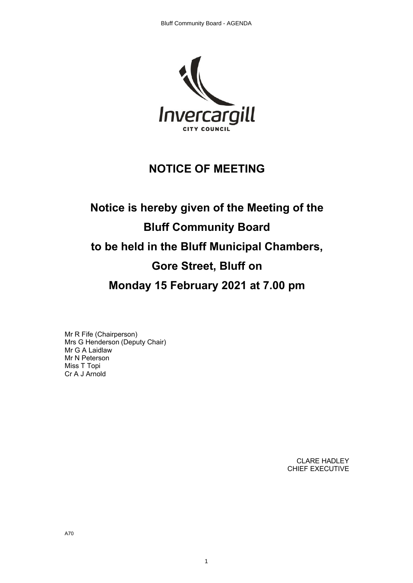

# **NOTICE OF MEETING**

# **Notice is hereby given of the Meeting of the Bluff Community Board to be held in the Bluff Municipal Chambers, Gore Street, Bluff on Monday 15 February 2021 at 7.00 pm**

1

Mr R Fife (Chairperson) Mrs G Henderson (Deputy Chair) Mr G A Laidlaw Mr N Peterson Miss T Topi Cr A J Arnold

> CLARE HADLEY CHIEF EXECUTIVE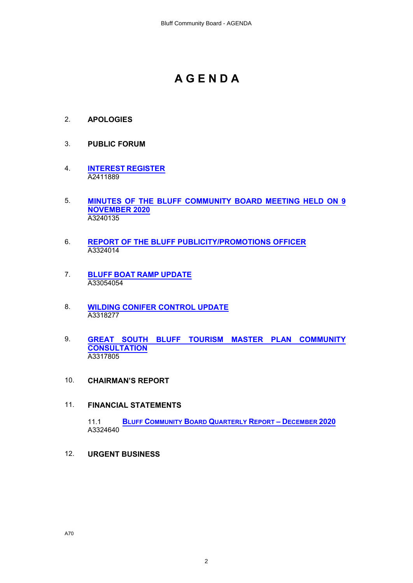# **A G E N D A**

- 2. **APOLOGIES**
- 3. **PUBLIC FORUM**
- 4. **[INTEREST REGISTER](#page-2-0)** A2411889
- 5. **[MINUTES OF THE BLUFF COMMUNITY BOARD MEETING HELD ON 9](#page-4-0) [NOVEMBER 2020](#page-4-0)** A3240135
- 6. **[REPORT OF THE BLUFF PUBLICITY/PROMOTIONS](#page-7-0) OFFICER** A3324014
- 7. **[BLUFF BOAT RAMP UPDATE](#page-9-0)** A33054054
- 8. **[WILDING CONIFER CONTROL UPDATE](#page-13-0)** A3318277
- 9. **[GREAT SOUTH BLUFF TOURISM MASTER](#page-15-0) PLAN COMMUNITY [CONSULTATION](#page-15-0)** A3317805
- 10. **CHAIRMAN'S REPORT**
- 11. **FINANCIAL STATEMENTS**

11.1 **[BLUFF COMMUNITY BOARD QUARTERLY REPORT – DECEMBER 2020](#page-19-0)** A3324640

12. **URGENT BUSINESS**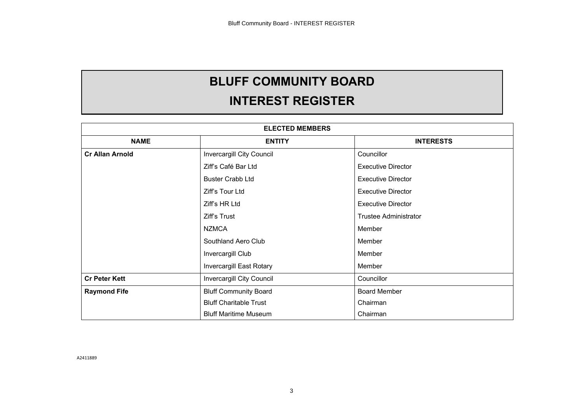# **BLUFF COMMUNITY BOARD**

# **INTEREST REGISTER**

<span id="page-2-0"></span>

|                        | <b>ELECTED MEMBERS</b>        |                              |
|------------------------|-------------------------------|------------------------------|
| <b>NAME</b>            | <b>ENTITY</b>                 | <b>INTERESTS</b>             |
| <b>Cr Allan Arnold</b> | Invercargill City Council     | Councillor                   |
|                        | Ziff's Café Bar Ltd           | <b>Executive Director</b>    |
|                        | <b>Buster Crabb Ltd</b>       | <b>Executive Director</b>    |
|                        | Ziff's Tour Ltd               | <b>Executive Director</b>    |
|                        | Ziff's HR Ltd                 | <b>Executive Director</b>    |
|                        | Ziff's Trust                  | <b>Trustee Administrator</b> |
|                        | <b>NZMCA</b>                  | Member                       |
|                        | Southland Aero Club           | Member                       |
|                        | Invercargill Club             | Member                       |
|                        | Invercargill East Rotary      | Member                       |
| <b>Cr Peter Kett</b>   | Invercargill City Council     | Councillor                   |
| <b>Raymond Fife</b>    | <b>Bluff Community Board</b>  | <b>Board Member</b>          |
|                        | <b>Bluff Charitable Trust</b> | Chairman                     |
|                        | <b>Bluff Maritime Museum</b>  | Chairman                     |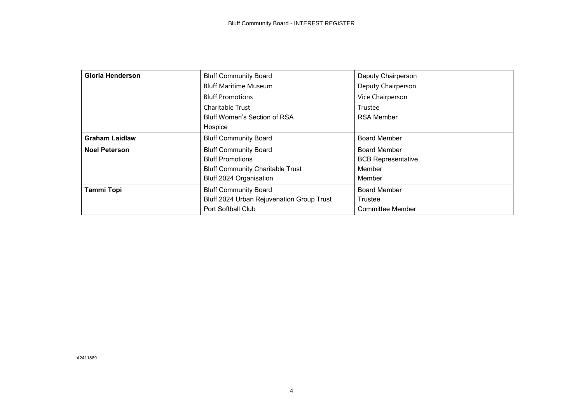| <b>Gloria Henderson</b> | <b>Bluff Community Board</b>              | Deputy Chairperson        |
|-------------------------|-------------------------------------------|---------------------------|
|                         | <b>Bluff Maritime Museum</b>              | Deputy Chairperson        |
|                         | <b>Bluff Promotions</b>                   | Vice Chairperson          |
|                         | Charitable Trust                          | Trustee                   |
|                         | <b>Bluff Women's Section of RSA</b>       | <b>RSA Member</b>         |
|                         | Hospice                                   |                           |
| <b>Graham Laidlaw</b>   | <b>Bluff Community Board</b>              | <b>Board Member</b>       |
| <b>Noel Peterson</b>    | <b>Bluff Community Board</b>              | <b>Board Member</b>       |
|                         | <b>Bluff Promotions</b>                   | <b>BCB Representative</b> |
|                         | <b>Bluff Community Charitable Trust</b>   | Member                    |
|                         | Bluff 2024 Organisation                   | Member                    |
| <b>Tammi Topi</b>       | <b>Bluff Community Board</b>              | <b>Board Member</b>       |
|                         | Bluff 2024 Urban Rejuvenation Group Trust | Trustee                   |
|                         | Port Softball Club                        | <b>Committee Member</b>   |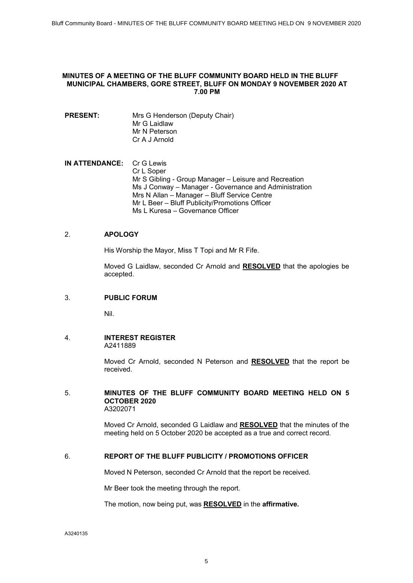#### <span id="page-4-0"></span>**MINUTES OF A MEETING OF THE BLUFF COMMUNITY BOARD HELD IN THE BLUFF MUNICIPAL CHAMBERS, GORE STREET, BLUFF ON MONDAY 9 NOVEMBER 2020 AT 7.00 PM**

**PRESENT:** Mrs G Henderson (Deputy Chair) Mr G Laidlaw Mr N Peterson Cr A J Arnold

**IN ATTENDANCE:** Cr G Lewis Cr L Soper Mr S Gibling - Group Manager – Leisure and Recreation Ms J Conway – Manager - Governance and Administration Mrs N Allan – Manager – Bluff Service Centre Mr L Beer – Bluff Publicity/Promotions Officer Ms L Kuresa – Governance Officer

#### 2. **APOLOGY**

His Worship the Mayor, Miss T Topi and Mr R Fife.

Moved G Laidlaw, seconded Cr Arnold and **RESOLVED** that the apologies be accepted.

#### 3. **PUBLIC FORUM**

Nil.

4. **INTEREST REGISTER**  A2411889

> Moved Cr Arnold, seconded N Peterson and **RESOLVED** that the report be received.

#### 5. **MINUTES OF THE BLUFF COMMUNITY BOARD MEETING HELD ON 5 OCTOBER 2020** A3202071

Moved Cr Arnold, seconded G Laidlaw and **RESOLVED** that the minutes of the meeting held on 5 October 2020 be accepted as a true and correct record.

#### 6. **REPORT OF THE BLUFF PUBLICITY / PROMOTIONS OFFICER**

Moved N Peterson, seconded Cr Arnold that the report be received.

Mr Beer took the meeting through the report.

The motion, now being put, was **RESOLVED** in the **affirmative.**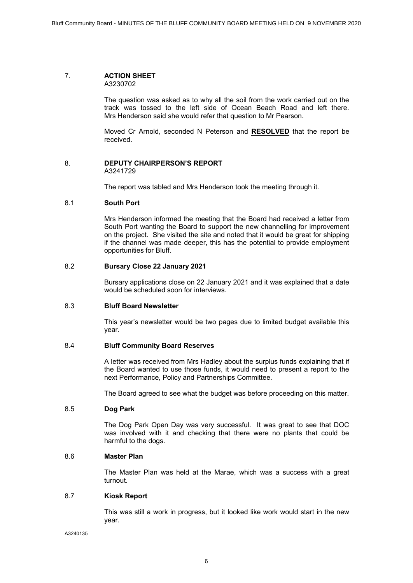#### 7. **ACTION SHEET**  A3230702

The question was asked as to why all the soil from the work carried out on the track was tossed to the left side of Ocean Beach Road and left there. Mrs Henderson said she would refer that question to Mr Pearson.

Moved Cr Arnold, seconded N Peterson and **RESOLVED** that the report be received.

# 8. **DEPUTY CHAIRPERSON'S REPORT**

A3241729

The report was tabled and Mrs Henderson took the meeting through it.

# 8.1 **South Port**

Mrs Henderson informed the meeting that the Board had received a letter from South Port wanting the Board to support the new channelling for improvement on the project. She visited the site and noted that it would be great for shipping if the channel was made deeper, this has the potential to provide employment opportunities for Bluff.

#### 8.2 **Bursary Close 22 January 2021**

Bursary applications close on 22 January 2021 and it was explained that a date would be scheduled soon for interviews.

#### 8.3 **Bluff Board Newsletter**

This year's newsletter would be two pages due to limited budget available this year.

#### 8.4 **Bluff Community Board Reserves**

A letter was received from Mrs Hadley about the surplus funds explaining that if the Board wanted to use those funds, it would need to present a report to the next Performance, Policy and Partnerships Committee.

The Board agreed to see what the budget was before proceeding on this matter.

#### 8.5 **Dog Park**

The Dog Park Open Day was very successful. It was great to see that DOC was involved with it and checking that there were no plants that could be harmful to the dogs.

#### 8.6 **Master Plan**

The Master Plan was held at the Marae, which was a success with a great turnout.

# 8.7 **Kiosk Report**

This was still a work in progress, but it looked like work would start in the new year.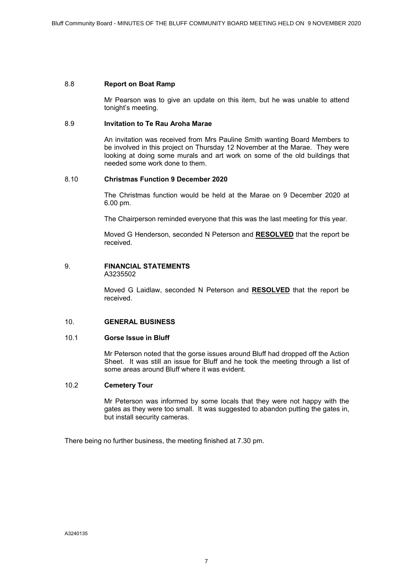#### 8.8 **Report on Boat Ramp**

Mr Pearson was to give an update on this item, but he was unable to attend tonight's meeting.

#### 8.9 **Invitation to Te Rau Aroha Marae**

An invitation was received from Mrs Pauline Smith wanting Board Members to be involved in this project on Thursday 12 November at the Marae. They were looking at doing some murals and art work on some of the old buildings that needed some work done to them.

#### 8.10 **Christmas Function 9 December 2020**

The Christmas function would be held at the Marae on 9 December 2020 at 6.00 pm.

The Chairperson reminded everyone that this was the last meeting for this year.

Moved G Henderson, seconded N Peterson and **RESOLVED** that the report be received.

# 9. **FINANCIAL STATEMENTS**

A3235502

Moved G Laidlaw, seconded N Peterson and **RESOLVED** that the report be received.

# 10. **GENERAL BUSINESS**

#### 10.1 **Gorse Issue in Bluff**

Mr Peterson noted that the gorse issues around Bluff had dropped off the Action Sheet. It was still an issue for Bluff and he took the meeting through a list of some areas around Bluff where it was evident.

#### 10.2 **Cemetery Tour**

Mr Peterson was informed by some locals that they were not happy with the gates as they were too small. It was suggested to abandon putting the gates in, but install security cameras.

There being no further business, the meeting finished at 7.30 pm.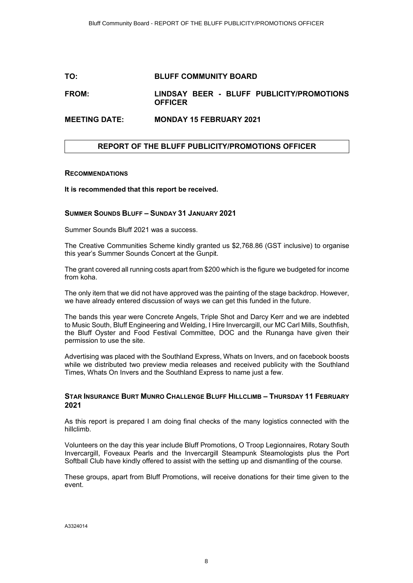## <span id="page-7-0"></span>**TO: BLUFF COMMUNITY BOARD**

# **FROM: LINDSAY BEER - BLUFF PUBLICITY/PROMOTIONS OFFICER**

#### **MEETING DATE: MONDAY 15 FEBRUARY 2021**

# **REPORT OF THE BLUFF PUBLICITY/PROMOTIONS OFFICER**

#### **RECOMMENDATIONS**

**It is recommended that this report be received.**

#### **SUMMER SOUNDS BLUFF – SUNDAY 31 JANUARY 2021**

Summer Sounds Bluff 2021 was a success.

The Creative Communities Scheme kindly granted us \$2,768.86 (GST inclusive) to organise this year's Summer Sounds Concert at the Gunpit.

The grant covered all running costs apart from \$200 which is the figure we budgeted for income from koha.

The only item that we did not have approved was the painting of the stage backdrop. However, we have already entered discussion of ways we can get this funded in the future.

The bands this year were Concrete Angels, Triple Shot and Darcy Kerr and we are indebted to Music South, Bluff Engineering and Welding, I Hire Invercargill, our MC Carl Mills, Southfish, the Bluff Oyster and Food Festival Committee, DOC and the Runanga have given their permission to use the site.

Advertising was placed with the Southland Express, Whats on Invers, and on facebook boosts while we distributed two preview media releases and received publicity with the Southland Times, Whats On Invers and the Southland Express to name just a few.

## **STAR INSURANCE BURT MUNRO CHALLENGE BLUFF HILLCLIMB – THURSDAY 11 FEBRUARY 2021**

As this report is prepared I am doing final checks of the many logistics connected with the hillclimb.

Volunteers on the day this year include Bluff Promotions, O Troop Legionnaires, Rotary South Invercargill, Foveaux Pearls and the Invercargill Steampunk Steamologists plus the Port Softball Club have kindly offered to assist with the setting up and dismantling of the course.

These groups, apart from Bluff Promotions, will receive donations for their time given to the event.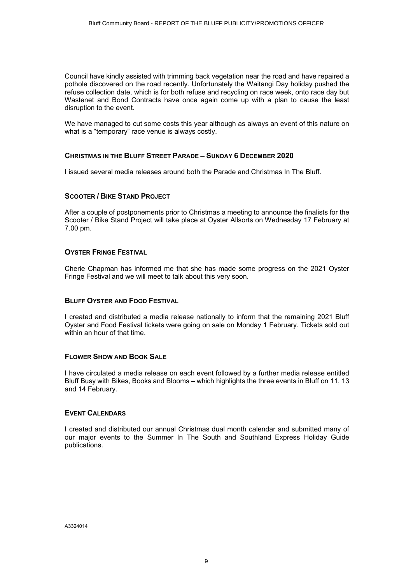Council have kindly assisted with trimming back vegetation near the road and have repaired a pothole discovered on the road recently. Unfortunately the Waitangi Day holiday pushed the refuse collection date, which is for both refuse and recycling on race week, onto race day but Wastenet and Bond Contracts have once again come up with a plan to cause the least disruption to the event.

We have managed to cut some costs this year although as always an event of this nature on what is a "temporary" race venue is always costly.

#### **CHRISTMAS IN THE BLUFF STREET PARADE – SUNDAY 6 DECEMBER 2020**

I issued several media releases around both the Parade and Christmas In The Bluff.

# **SCOOTER / BIKE STAND PROJECT**

After a couple of postponements prior to Christmas a meeting to announce the finalists for the Scooter / Bike Stand Project will take place at Oyster Allsorts on Wednesday 17 February at 7.00 pm.

#### **OYSTER FRINGE FESTIVAL**

Cherie Chapman has informed me that she has made some progress on the 2021 Oyster Fringe Festival and we will meet to talk about this very soon.

# **BLUFF OYSTER AND FOOD FESTIVAL**

I created and distributed a media release nationally to inform that the remaining 2021 Bluff Oyster and Food Festival tickets were going on sale on Monday 1 February. Tickets sold out within an hour of that time.

#### **FLOWER SHOW AND BOOK SALE**

I have circulated a media release on each event followed by a further media release entitled Bluff Busy with Bikes, Books and Blooms – which highlights the three events in Bluff on 11, 13 and 14 February.

#### **EVENT CALENDARS**

I created and distributed our annual Christmas dual month calendar and submitted many of our major events to the Summer In The South and Southland Express Holiday Guide publications.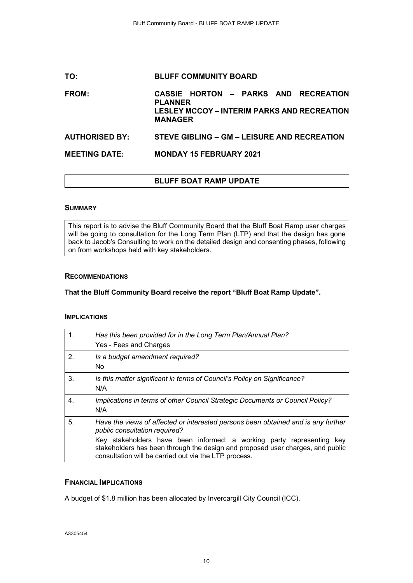# <span id="page-9-0"></span>**TO: BLUFF COMMUNITY BOARD FROM: CASSIE HORTON – PARKS AND RECREATION PLANNER LESLEY MCCOY – INTERIM PARKS AND RECREATION MANAGER AUTHORISED BY: STEVE GIBLING – GM – LEISURE AND RECREATION MEETING DATE: MONDAY 15 FEBRUARY 2021**

# **BLUFF BOAT RAMP UPDATE**

#### **SUMMARY**

This report is to advise the Bluff Community Board that the Bluff Boat Ramp user charges will be going to consultation for the Long Term Plan (LTP) and that the design has gone back to Jacob's Consulting to work on the detailed design and consenting phases, following on from workshops held with key stakeholders.

#### **RECOMMENDATIONS**

#### **That the Bluff Community Board receive the report "Bluff Boat Ramp Update".**

#### **IMPLICATIONS**

| 1. | Has this been provided for in the Long Term Plan/Annual Plan?<br>Yes - Fees and Charges                                                                                                                             |
|----|---------------------------------------------------------------------------------------------------------------------------------------------------------------------------------------------------------------------|
| 2. | Is a budget amendment required?<br><b>No</b>                                                                                                                                                                        |
| 3. | Is this matter significant in terms of Council's Policy on Significance?<br>N/A                                                                                                                                     |
| 4. | Implications in terms of other Council Strategic Documents or Council Policy?<br>N/A                                                                                                                                |
| 5. | Have the views of affected or interested persons been obtained and is any further<br>public consultation required?                                                                                                  |
|    | Key stakeholders have been informed; a working party representing<br>kev<br>stakeholders has been through the design and proposed user charges, and public<br>consultation will be carried out via the LTP process. |

# **FINANCIAL IMPLICATIONS**

A budget of \$1.8 million has been allocated by Invercargill City Council (ICC).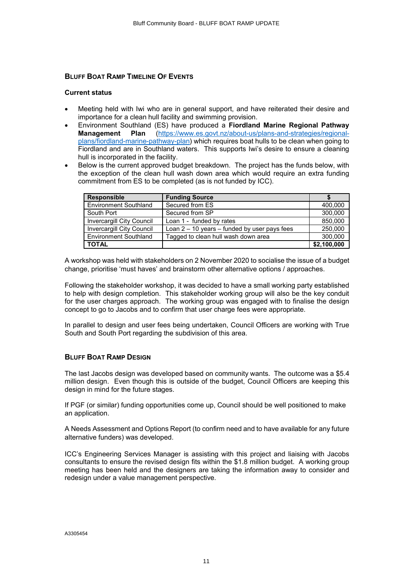#### **BLUFF BOAT RAMP TIMELINE OF EVENTS**

#### **Current status**

- ∑ Meeting held with Iwi who are in general support, and have reiterated their desire and importance for a clean hull facility and swimming provision.
- ∑ Environment Southland (ES) have produced a **Fiordland Marine Regional Pathway Management Plan** [\(https://www.es.govt.nz/about-us/plans-and-strategies/regional](https://www.es.govt.nz/about-us/plans-and-strategies/regional-plans/fiordland-marine-pathway-plan)[plans/fiordland-marine-pathway-plan\)](https://www.es.govt.nz/about-us/plans-and-strategies/regional-plans/fiordland-marine-pathway-plan) which requires boat hulls to be clean when going to Fiordland and are in Southland waters. This supports Iwi's desire to ensure a cleaning hull is incorporated in the facility.
- ∑ Below is the current approved budget breakdown. The project has the funds below, with the exception of the clean hull wash down area which would require an extra funding commitment from ES to be completed (as is not funded by ICC).

| <b>Responsible</b>               | <b>Funding Source</b>                            |             |
|----------------------------------|--------------------------------------------------|-------------|
| <b>Environment Southland</b>     | Secured from ES                                  | 400,000     |
| South Port                       | Secured from SP                                  | 300,000     |
| <b>Invercargill City Council</b> | Loan 1 - funded by rates                         | 850,000     |
| <b>Invercargill City Council</b> | Loan $2 - 10$ years $-$ funded by user pays fees | 250,000     |
| <b>Environment Southland</b>     | Tagged to clean hull wash down area              | 300,000     |
| <b>TOTAL</b>                     |                                                  | \$2,100,000 |

A workshop was held with stakeholders on 2 November 2020 to socialise the issue of a budget change, prioritise 'must haves' and brainstorm other alternative options / approaches.

Following the stakeholder workshop, it was decided to have a small working party established to help with design completion. This stakeholder working group will also be the key conduit for the user charges approach. The working group was engaged with to finalise the design concept to go to Jacobs and to confirm that user charge fees were appropriate.

In parallel to design and user fees being undertaken, Council Officers are working with True South and South Port regarding the subdivision of this area.

#### **BLUFF BOAT RAMP DESIGN**

The last Jacobs design was developed based on community wants. The outcome was a \$5.4 million design. Even though this is outside of the budget, Council Officers are keeping this design in mind for the future stages.

If PGF (or similar) funding opportunities come up, Council should be well positioned to make an application.

A Needs Assessment and Options Report (to confirm need and to have available for any future alternative funders) was developed.

ICC's Engineering Services Manager is assisting with this project and liaising with Jacobs consultants to ensure the revised design fits within the \$1.8 million budget. A working group meeting has been held and the designers are taking the information away to consider and redesign under a value management perspective.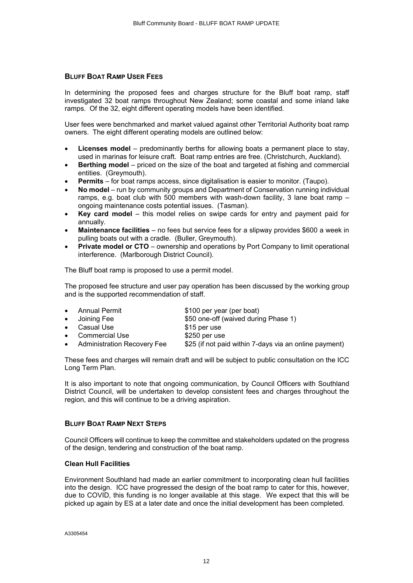#### **BLUFF BOAT RAMP USER FEES**

In determining the proposed fees and charges structure for the Bluff boat ramp, staff investigated 32 boat ramps throughout New Zealand; some coastal and some inland lake ramps. Of the 32, eight different operating models have been identified.

User fees were benchmarked and market valued against other Territorial Authority boat ramp owners. The eight different operating models are outlined below:

- Licenses model predominantly berths for allowing boats a permanent place to stay, used in marinas for leisure craft. Boat ramp entries are free. (Christchurch, Auckland).
- ∑ **Berthing model** priced on the size of the boat and targeted at fishing and commercial entities. (Greymouth).
- ∑ **Permits** for boat ramps access, since digitalisation is easier to monitor. (Taupo).
- ∑ **No model** run by community groups and Department of Conservation running individual ramps, e.g. boat club with 500 members with wash-down facility, 3 lane boat ramp – ongoing maintenance costs potential issues. (Tasman).
- ∑ **Key card model** this model relies on swipe cards for entry and payment paid for annually.
- ∑ **Maintenance facilities** no fees but service fees for a slipway provides \$600 a week in pulling boats out with a cradle. (Buller, Greymouth).
- **Private model or CTO** ownership and operations by Port Company to limit operational interference. (Marlborough District Council).

The Bluff boat ramp is proposed to use a permit model.

The proposed fee structure and user pay operation has been discussed by the working group and is the supported recommendation of staff.

∑ Annual Permit \$100 per year (per boat) ∑ Joining Fee \$50 one-off (waived during Phase 1) Casual Use \$15 per use ∑ Commercial Use \$250 per use ∑ Administration Recovery Fee \$25 (if not paid within 7-days via an online payment)

These fees and charges will remain draft and will be subject to public consultation on the ICC Long Term Plan.

It is also important to note that ongoing communication, by Council Officers with Southland District Council, will be undertaken to develop consistent fees and charges throughout the region, and this will continue to be a driving aspiration.

#### **BLUFF BOAT RAMP NEXT STEPS**

Council Officers will continue to keep the committee and stakeholders updated on the progress of the design, tendering and construction of the boat ramp.

#### **Clean Hull Facilities**

Environment Southland had made an earlier commitment to incorporating clean hull facilities into the design. ICC have progressed the design of the boat ramp to cater for this, however, due to COVID, this funding is no longer available at this stage. We expect that this will be picked up again by ES at a later date and once the initial development has been completed.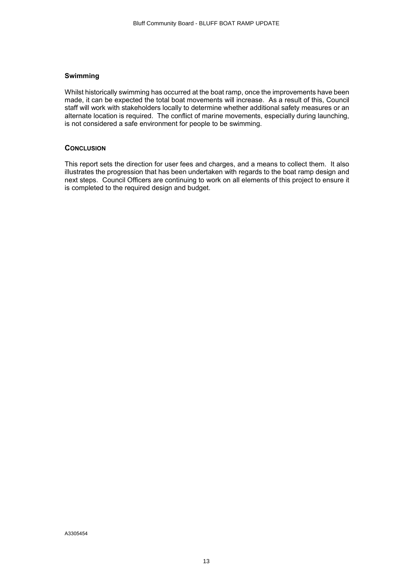#### **Swimming**

Whilst historically swimming has occurred at the boat ramp, once the improvements have been made, it can be expected the total boat movements will increase. As a result of this, Council staff will work with stakeholders locally to determine whether additional safety measures or an alternate location is required. The conflict of marine movements, especially during launching, is not considered a safe environment for people to be swimming.

#### **CONCLUSION**

This report sets the direction for user fees and charges, and a means to collect them. It also illustrates the progression that has been undertaken with regards to the boat ramp design and next steps. Council Officers are continuing to work on all elements of this project to ensure it is completed to the required design and budget.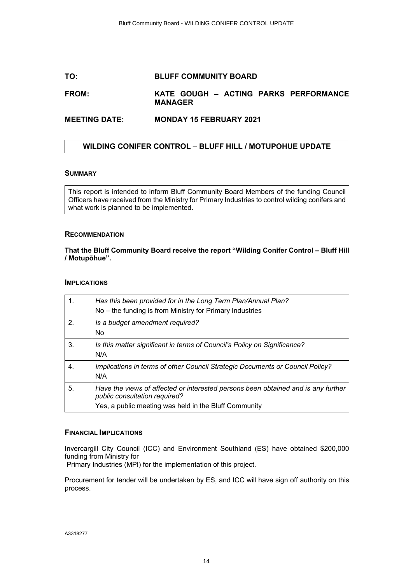# <span id="page-13-0"></span>**TO: BLUFF COMMUNITY BOARD**

# **FROM: KATE GOUGH – ACTING PARKS PERFORMANCE MANAGER**

# **MEETING DATE: MONDAY 15 FEBRUARY 2021**

# **WILDING CONIFER CONTROL – BLUFF HILL / MOTUPOHUE UPDATE**

#### **SUMMARY**

This report is intended to inform Bluff Community Board Members of the funding Council Officers have received from the Ministry for Primary Industries to control wilding conifers and what work is planned to be implemented.

#### **RECOMMENDATION**

#### **That the Bluff Community Board receive the report "Wilding Conifer Control – Bluff Hill / Motupōhue".**

#### **IMPLICATIONS**

| $\mathbf{1}$ . | Has this been provided for in the Long Term Plan/Annual Plan?<br>No – the funding is from Ministry for Primary Industries                                                   |
|----------------|-----------------------------------------------------------------------------------------------------------------------------------------------------------------------------|
| 2 <sub>1</sub> | Is a budget amendment required?<br>No.                                                                                                                                      |
| 3.             | Is this matter significant in terms of Council's Policy on Significance?<br>N/A                                                                                             |
| 4.             | Implications in terms of other Council Strategic Documents or Council Policy?<br>N/A                                                                                        |
| 5.             | Have the views of affected or interested persons been obtained and is any further<br>public consultation required?<br>Yes, a public meeting was held in the Bluff Community |

#### **FINANCIAL IMPLICATIONS**

Invercargill City Council (ICC) and Environment Southland (ES) have obtained \$200,000 funding from Ministry for

Primary Industries (MPI) for the implementation of this project.

Procurement for tender will be undertaken by ES, and ICC will have sign off authority on this process.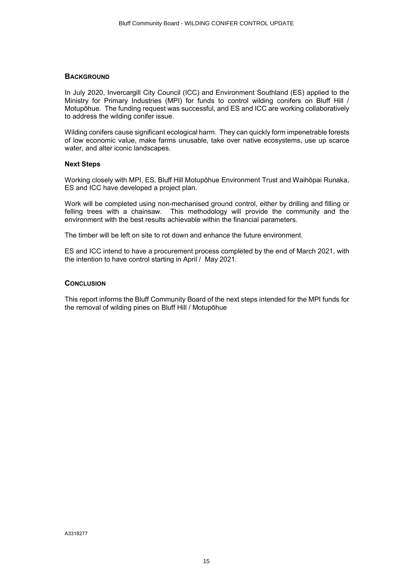#### **BACKGROUND**

In July 2020, Invercargill City Council (ICC) and Environment Southland (ES) applied to the Ministry for Primary Industries (MPI) for funds to control wilding conifers on Bluff Hill / Motupōhue. The funding request was successful, and ES and ICC are working collaboratively to address the wilding conifer issue.

Wilding conifers cause significant ecological harm. They can quickly form impenetrable forests of low economic value, make farms unusable, take over native ecosystems, use up scarce water, and alter iconic landscapes.

# **Next Steps**

Working closely with MPI, ES, Bluff Hill Motupōhue Environment Trust and Waihōpai Runaka, ES and ICC have developed a project plan.

Work will be completed using non-mechanised ground control, either by drilling and filling or felling trees with a chainsaw. This methodology will provide the community and the environment with the best results achievable within the financial parameters.

The timber will be left on site to rot down and enhance the future environment.

ES and ICC intend to have a procurement process completed by the end of March 2021, with the intention to have control starting in April / May 2021.

#### **CONCLUSION**

This report informs the Bluff Community Board of the next steps intended for the MPI funds for the removal of wilding pines on Bluff Hill / Motupōhue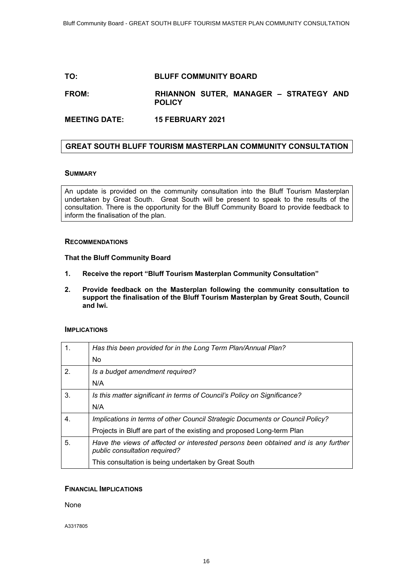# <span id="page-15-0"></span>**TO: BLUFF COMMUNITY BOARD**

# **FROM: RHIANNON SUTER, MANAGER – STRATEGY AND POLICY**

**MEETING DATE: 15 FEBRUARY 2021**

# **GREAT SOUTH BLUFF TOURISM MASTERPLAN COMMUNITY CONSULTATION**

## **SUMMARY**

An update is provided on the community consultation into the Bluff Tourism Masterplan undertaken by Great South. Great South will be present to speak to the results of the consultation. There is the opportunity for the Bluff Community Board to provide feedback to inform the finalisation of the plan.

#### **RECOMMENDATIONS**

#### **That the Bluff Community Board**

- **1. Receive the report "Bluff Tourism Masterplan Community Consultation"**
- **2. Provide feedback on the Masterplan following the community consultation to support the finalisation of the Bluff Tourism Masterplan by Great South, Council and Iwi.**

#### **IMPLICATIONS**

| 1.          | Has this been provided for in the Long Term Plan/Annual Plan?                                                      |
|-------------|--------------------------------------------------------------------------------------------------------------------|
|             | <b>No</b>                                                                                                          |
| 2.          | Is a budget amendment required?                                                                                    |
|             | N/A                                                                                                                |
| 3.          | Is this matter significant in terms of Council's Policy on Significance?                                           |
|             | N/A                                                                                                                |
| $\mathbf 4$ | Implications in terms of other Council Strategic Documents or Council Policy?                                      |
|             | Projects in Bluff are part of the existing and proposed Long-term Plan                                             |
| 5.          | Have the views of affected or interested persons been obtained and is any further<br>public consultation required? |
|             | This consultation is being undertaken by Great South                                                               |

# **FINANCIAL IMPLICATIONS**

None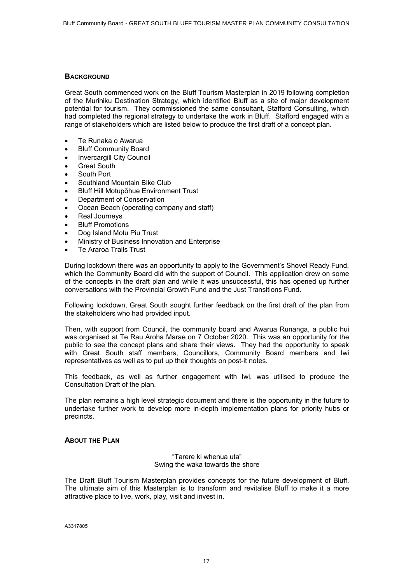#### **BACKGROUND**

Great South commenced work on the Bluff Tourism Masterplan in 2019 following completion of the Murihiku Destination Strategy, which identified Bluff as a site of major development potential for tourism. They commissioned the same consultant, Stafford Consulting, which had completed the regional strategy to undertake the work in Bluff. Stafford engaged with a range of stakeholders which are listed below to produce the first draft of a concept plan.

- ∑ Te Runaka o Awarua
- ∑ Bluff Community Board
- ∑ Invercargill City Council
- ∑ Great South
- ∑ South Port
- ∑ Southland Mountain Bike Club
- ∑ Bluff Hill Motupōhue Environment Trust
- ∑ Department of Conservation
- ∑ Ocean Beach (operating company and staff)
- ∑ Real Journeys
- ∑ Bluff Promotions
- ∑ Dog Island Motu Piu Trust
- ∑ Ministry of Business Innovation and Enterprise
- ∑ Te Araroa Trails Trust

During lockdown there was an opportunity to apply to the Government's Shovel Ready Fund, which the Community Board did with the support of Council. This application drew on some of the concepts in the draft plan and while it was unsuccessful, this has opened up further conversations with the Provincial Growth Fund and the Just Transitions Fund.

Following lockdown, Great South sought further feedback on the first draft of the plan from the stakeholders who had provided input.

Then, with support from Council, the community board and Awarua Runanga, a public hui was organised at Te Rau Aroha Marae on 7 October 2020. This was an opportunity for the public to see the concept plans and share their views. They had the opportunity to speak with Great South staff members, Councillors, Community Board members and Iwi representatives as well as to put up their thoughts on post-it notes.

This feedback, as well as further engagement with Iwi, was utilised to produce the Consultation Draft of the plan.

The plan remains a high level strategic document and there is the opportunity in the future to undertake further work to develop more in-depth implementation plans for priority hubs or precincts.

#### **ABOUT THE PLAN**

"Tarere ki whenua uta" Swing the waka towards the shore

The Draft Bluff Tourism Masterplan provides concepts for the future development of Bluff. The ultimate aim of this Masterplan is to transform and revitalise Bluff to make it a more attractive place to live, work, play, visit and invest in.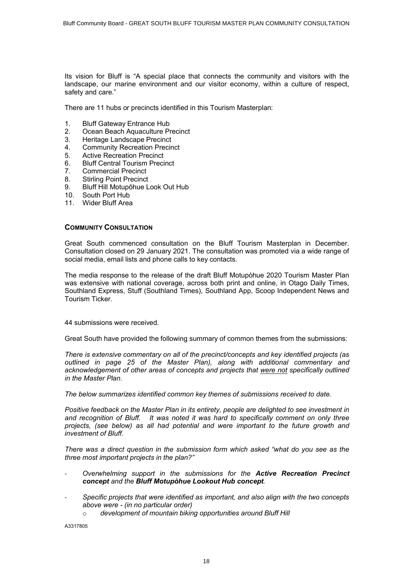Its vision for Bluff is "A special place that connects the community and visitors with the landscape, our marine environment and our visitor economy, within a culture of respect, safety and care."

There are 11 hubs or precincts identified in this Tourism Masterplan:

- 1. Bluff Gateway Entrance Hub
- 2. Ocean Beach Aquaculture Precinct<br>3. Heritage Landscape Precinct
- Heritage Landscape Precinct
- 4. Community Recreation Precinct
- 5. Active Recreation Precinct
- 6. Bluff Central Tourism Precinct
- 7. Commercial Precinct
- 8. Stirling Point Precinct
- 9. Bluff Hill Motupōhue Look Out Hub
- 10. South Port Hub
- 11. Wider Bluff Area

#### **COMMUNITY CONSULTATION**

Great South commenced consultation on the Bluff Tourism Masterplan in December. Consultation closed on 29 January 2021. The consultation was promoted via a wide range of social media, email lists and phone calls to key contacts.

The media response to the release of the draft Bluff Motupòhue 2020 Tourism Master Plan was extensive with national coverage, across both print and online, in Otago Daily Times, Southland Express, Stuff (Southland Times), Southland App, Scoop Independent News and Tourism Ticker.

44 submissions were received.

Great South have provided the following summary of common themes from the submissions:

*There is extensive commentary on all of the precinct/concepts and key identified projects (as outlined in page 25 of the Master Plan), along with additional commentary and acknowledgement of other areas of concepts and projects that were not specifically outlined in the Master Plan.* 

*The below summarizes identified common key themes of submissions received to date.*

*Positive feedback on the Master Plan in its entirety, people are delighted to see investment in and recognition of Bluff. It was noted it was hard to specifically comment on only three projects, (see below) as all had potential and were important to the future growth and investment of Bluff.*

*There was a direct question in the submission form which asked "what do you see as the three most important projects in the plan?"* 

- *Overwhelming support in the submissions for the Active Recreation Precinct concept and the Bluff Motupòhue Lookout Hub concept.*
- *Specific projects that were identified as important, and also align with the two concepts above were - (in no particular order)*
	- o *development of mountain biking opportunities around Bluff Hill*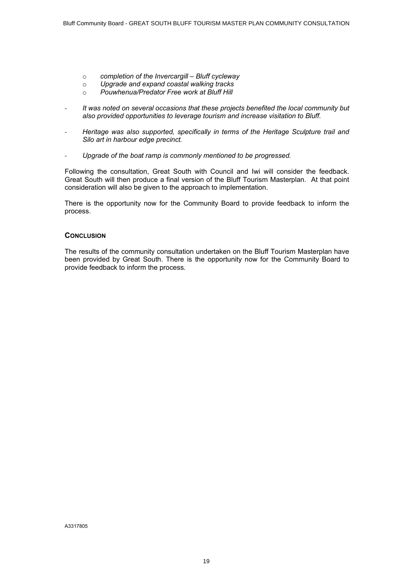- o *completion of the Invercargill Bluff cycleway*
- o *Upgrade and expand coastal walking tracks*
- o *Pouwhenua/Predator Free work at Bluff Hill*
- *It was noted on several occasions that these projects benefited the local community but also provided opportunities to leverage tourism and increase visitation to Bluff.*
- *Heritage was also supported, specifically in terms of the Heritage Sculpture trail and Silo art in harbour edge precinct.*
- *Upgrade of the boat ramp is commonly mentioned to be progressed.*

Following the consultation, Great South with Council and Iwi will consider the feedback. Great South will then produce a final version of the Bluff Tourism Masterplan. At that point consideration will also be given to the approach to implementation.

There is the opportunity now for the Community Board to provide feedback to inform the process.

#### **CONCLUSION**

The results of the community consultation undertaken on the Bluff Tourism Masterplan have been provided by Great South. There is the opportunity now for the Community Board to provide feedback to inform the process.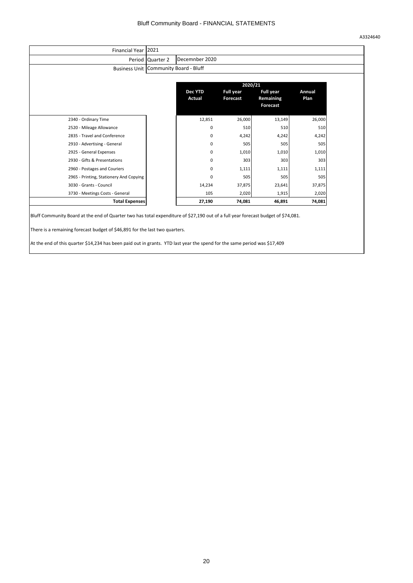A3324640

<span id="page-19-0"></span>

|                                         | Period Quarter 2 | Decemnber 2020                          |                              |                                                  |                |
|-----------------------------------------|------------------|-----------------------------------------|------------------------------|--------------------------------------------------|----------------|
|                                         |                  | Business Unit   Community Board - Bluff |                              |                                                  |                |
|                                         |                  | 2020/21                                 |                              |                                                  |                |
|                                         |                  | <b>Dec YTD</b><br>Actual                | <b>Full year</b><br>Forecast | <b>Full year</b><br>Remaining<br><b>Forecast</b> | Annual<br>Plan |
| 2340 - Ordinary Time                    |                  | 12,851                                  | 26,000                       | 13,149                                           | 26,000         |
| 2520 - Mileage Allowance                |                  | 0                                       | 510                          | 510                                              | 510            |
| 2835 - Travel and Conference            |                  | 0                                       | 4,242                        | 4,242                                            | 4,242          |
| 2910 - Advertising - General            |                  | 0                                       | 505                          | 505                                              | 505            |
| 2925 - General Expenses                 |                  | 0                                       | 1,010                        | 1,010                                            | 1,010          |
| 2930 - Gifts & Presentations            |                  | 0                                       | 303                          | 303                                              | 303            |
| 2960 - Postages and Couriers            |                  | 0                                       | 1,111                        | 1,111                                            | 1,111          |
| 2965 - Printing, Stationery And Copying |                  | 0                                       | 505                          | 505                                              | 505            |
| 3030 - Grants - Council                 |                  | 14,234                                  | 37,875                       | 23,641                                           | 37,875         |
| 3730 - Meetings Costs - General         |                  | 105                                     | 2,020                        | 1,915                                            | 2,020          |
| <b>Total Expenses</b>                   |                  | 27,190                                  | 74,081                       | 46,891                                           | 74,081         |

At the end of this quarter \$14,234 has been paid out in grants. YTD last year the spend for the same period was \$17,409